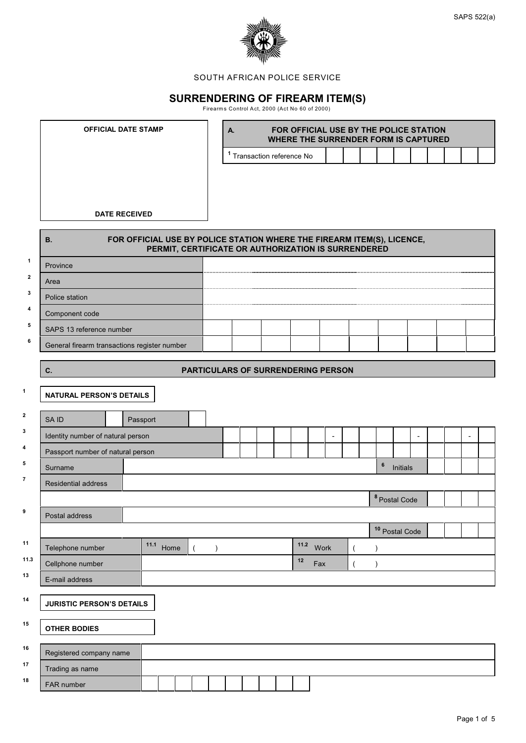

## SOUTH AFRICAN POLICE SERVICE

## **SURRENDERING OF FIREARM ITEM(S)**<br>Firearms Control Act, 2000 (Act No 60 of 2000)

 $\blacksquare$ 

 $\mathbf{r}$ 

|              | <b>OFFICIAL DATE STAMP</b>                   |                                                                                                                               | FOR OFFICIAL USE BY THE POLICE STATION<br>А.<br>WHERE THE SURRENDER FORM IS CAPTURED |                                       |  |  |            |      |                          |                |               |         |                           |                          |  |                          |  |
|--------------|----------------------------------------------|-------------------------------------------------------------------------------------------------------------------------------|--------------------------------------------------------------------------------------|---------------------------------------|--|--|------------|------|--------------------------|----------------|---------------|---------|---------------------------|--------------------------|--|--------------------------|--|
|              |                                              |                                                                                                                               |                                                                                      | <sup>1</sup> Transaction reference No |  |  |            |      |                          |                |               |         |                           |                          |  |                          |  |
|              |                                              |                                                                                                                               |                                                                                      |                                       |  |  |            |      |                          |                |               |         |                           |                          |  |                          |  |
|              |                                              |                                                                                                                               |                                                                                      |                                       |  |  |            |      |                          |                |               |         |                           |                          |  |                          |  |
|              |                                              |                                                                                                                               |                                                                                      |                                       |  |  |            |      |                          |                |               |         |                           |                          |  |                          |  |
|              | <b>DATE RECEIVED</b>                         |                                                                                                                               |                                                                                      |                                       |  |  |            |      |                          |                |               |         |                           |                          |  |                          |  |
|              | <b>B.</b>                                    | FOR OFFICIAL USE BY POLICE STATION WHERE THE FIREARM ITEM(S), LICENCE,<br>PERMIT, CERTIFICATE OR AUTHORIZATION IS SURRENDERED |                                                                                      |                                       |  |  |            |      |                          |                |               |         |                           |                          |  |                          |  |
| $\mathbf{1}$ | Province                                     |                                                                                                                               |                                                                                      |                                       |  |  |            |      |                          |                |               |         |                           |                          |  |                          |  |
| $\mathbf{2}$ | Area                                         |                                                                                                                               |                                                                                      |                                       |  |  |            |      |                          |                |               |         |                           |                          |  |                          |  |
| 3            | Police station                               |                                                                                                                               |                                                                                      |                                       |  |  |            |      |                          |                |               |         |                           |                          |  |                          |  |
| 4            | Component code                               |                                                                                                                               |                                                                                      |                                       |  |  |            |      |                          |                |               |         |                           |                          |  |                          |  |
| 5            | SAPS 13 reference number                     |                                                                                                                               |                                                                                      |                                       |  |  |            |      |                          |                |               |         |                           |                          |  |                          |  |
| 6            | General firearm transactions register number |                                                                                                                               |                                                                                      |                                       |  |  |            |      |                          |                |               |         |                           |                          |  |                          |  |
|              | C.                                           |                                                                                                                               | <b>PARTICULARS OF SURRENDERING PERSON</b>                                            |                                       |  |  |            |      |                          |                |               |         |                           |                          |  |                          |  |
| 1            |                                              |                                                                                                                               |                                                                                      |                                       |  |  |            |      |                          |                |               |         |                           |                          |  |                          |  |
|              | <b>NATURAL PERSON'S DETAILS</b>              |                                                                                                                               |                                                                                      |                                       |  |  |            |      |                          |                |               |         |                           |                          |  |                          |  |
| 2            | SA ID                                        | Passport                                                                                                                      |                                                                                      |                                       |  |  |            |      |                          |                |               |         |                           |                          |  |                          |  |
| 3            | Identity number of natural person            |                                                                                                                               |                                                                                      |                                       |  |  |            |      | $\overline{\phantom{a}}$ |                |               |         |                           | $\overline{\phantom{a}}$ |  | $\overline{\phantom{a}}$ |  |
| 4            | Passport number of natural person            |                                                                                                                               |                                                                                      |                                       |  |  |            |      |                          |                |               |         |                           |                          |  |                          |  |
| 5            | Surname                                      |                                                                                                                               |                                                                                      |                                       |  |  |            |      |                          |                |               | $\bf 6$ | Initials                  |                          |  |                          |  |
| 7            | <b>Residential address</b>                   |                                                                                                                               |                                                                                      |                                       |  |  |            |      |                          |                |               |         |                           |                          |  |                          |  |
|              |                                              |                                                                                                                               |                                                                                      |                                       |  |  |            |      |                          |                |               |         | <sup>8</sup> Postal Code  |                          |  |                          |  |
| 9            | Postal address                               |                                                                                                                               |                                                                                      |                                       |  |  |            |      |                          |                |               |         |                           |                          |  |                          |  |
| 11           |                                              |                                                                                                                               |                                                                                      |                                       |  |  |            |      |                          |                |               |         | <sup>10</sup> Postal Code |                          |  |                          |  |
| 11.3         | Telephone number                             | 11.1<br>Home                                                                                                                  | $\mathcal{E}$                                                                        |                                       |  |  | 11.2<br>12 | Work |                          | $\overline{(}$ | $\mathcal{E}$ |         |                           |                          |  |                          |  |
| 13           | Cellphone number                             |                                                                                                                               |                                                                                      |                                       |  |  |            | Fax  |                          | $\overline{(}$ | $\lambda$     |         |                           |                          |  |                          |  |
|              | E-mail address                               |                                                                                                                               |                                                                                      |                                       |  |  |            |      |                          |                |               |         |                           |                          |  |                          |  |
| 14           | <b>JURISTIC PERSON'S DETAILS</b>             |                                                                                                                               |                                                                                      |                                       |  |  |            |      |                          |                |               |         |                           |                          |  |                          |  |
| 15           | <b>OTHER BODIES</b>                          |                                                                                                                               |                                                                                      |                                       |  |  |            |      |                          |                |               |         |                           |                          |  |                          |  |
| 16           | Registered company name                      |                                                                                                                               |                                                                                      |                                       |  |  |            |      |                          |                |               |         |                           |                          |  |                          |  |
| 17           | Trading as name                              |                                                                                                                               |                                                                                      |                                       |  |  |            |      |                          |                |               |         |                           |                          |  |                          |  |
| 18           | FAR number                                   |                                                                                                                               |                                                                                      |                                       |  |  |            |      |                          |                |               |         |                           |                          |  |                          |  |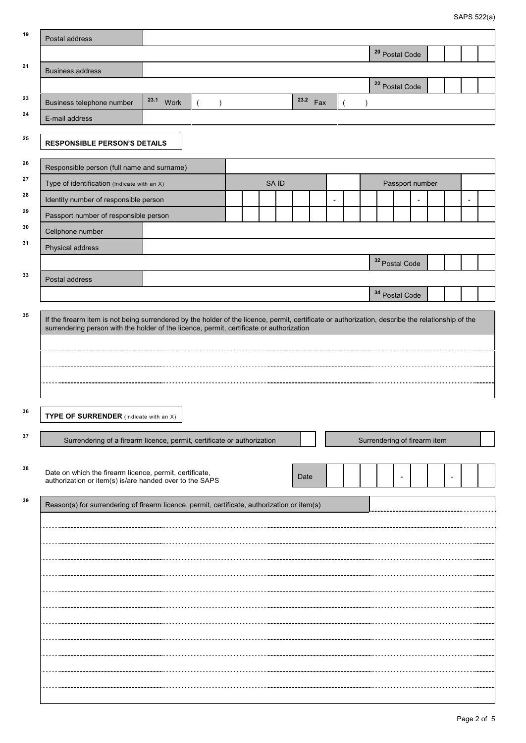| 19 | Postal address                                                                                                                                                                                                                                |                                                                                                         |           |       |  |  |      |          |  |  |                 |  |                           |  |  |  |                          |  |
|----|-----------------------------------------------------------------------------------------------------------------------------------------------------------------------------------------------------------------------------------------------|---------------------------------------------------------------------------------------------------------|-----------|-------|--|--|------|----------|--|--|-----------------|--|---------------------------|--|--|--|--------------------------|--|
|    |                                                                                                                                                                                                                                               |                                                                                                         |           |       |  |  |      |          |  |  |                 |  | <sup>20</sup> Postal Code |  |  |  |                          |  |
| 21 | <b>Business address</b>                                                                                                                                                                                                                       |                                                                                                         |           |       |  |  |      |          |  |  |                 |  |                           |  |  |  |                          |  |
|    |                                                                                                                                                                                                                                               |                                                                                                         |           |       |  |  |      |          |  |  |                 |  | <sup>22</sup> Postal Code |  |  |  |                          |  |
| 23 | Business telephone number                                                                                                                                                                                                                     | 23.1 Work                                                                                               | $\lambda$ |       |  |  |      | 23.2 Fax |  |  | $\mathcal{E}$   |  |                           |  |  |  |                          |  |
| 24 | E-mail address                                                                                                                                                                                                                                |                                                                                                         |           |       |  |  |      |          |  |  |                 |  |                           |  |  |  |                          |  |
| 25 | <b>RESPONSIBLE PERSON'S DETAILS</b>                                                                                                                                                                                                           |                                                                                                         |           |       |  |  |      |          |  |  |                 |  |                           |  |  |  |                          |  |
| 26 | Responsible person (full name and surname)                                                                                                                                                                                                    |                                                                                                         |           |       |  |  |      |          |  |  |                 |  |                           |  |  |  |                          |  |
| 27 | Type of identification (Indicate with an X)                                                                                                                                                                                                   |                                                                                                         |           | SA ID |  |  |      |          |  |  | Passport number |  |                           |  |  |  |                          |  |
| 28 | Identity number of responsible person                                                                                                                                                                                                         |                                                                                                         |           |       |  |  |      |          |  |  |                 |  |                           |  |  |  | $\overline{\phantom{a}}$ |  |
| 29 | Passport number of responsible person                                                                                                                                                                                                         |                                                                                                         |           |       |  |  |      |          |  |  |                 |  |                           |  |  |  |                          |  |
| 30 | Cellphone number                                                                                                                                                                                                                              |                                                                                                         |           |       |  |  |      |          |  |  |                 |  |                           |  |  |  |                          |  |
| 31 | Physical address                                                                                                                                                                                                                              |                                                                                                         |           |       |  |  |      |          |  |  |                 |  |                           |  |  |  |                          |  |
|    |                                                                                                                                                                                                                                               |                                                                                                         |           |       |  |  |      |          |  |  |                 |  | <sup>32</sup> Postal Code |  |  |  |                          |  |
| 33 | Postal address                                                                                                                                                                                                                                |                                                                                                         |           |       |  |  |      |          |  |  |                 |  |                           |  |  |  |                          |  |
|    |                                                                                                                                                                                                                                               |                                                                                                         |           |       |  |  |      |          |  |  |                 |  | <sup>34</sup> Postal Code |  |  |  |                          |  |
| 35 | If the firearm item is not being surrendered by the holder of the licence, permit, certificate or authorization, describe the relationship of the<br>surrendering person with the holder of the licence, permit, certificate or authorization |                                                                                                         |           |       |  |  |      |          |  |  |                 |  |                           |  |  |  |                          |  |
|    |                                                                                                                                                                                                                                               |                                                                                                         |           |       |  |  |      |          |  |  |                 |  |                           |  |  |  |                          |  |
|    |                                                                                                                                                                                                                                               |                                                                                                         |           |       |  |  |      |          |  |  |                 |  |                           |  |  |  |                          |  |
|    |                                                                                                                                                                                                                                               |                                                                                                         |           |       |  |  |      |          |  |  |                 |  |                           |  |  |  |                          |  |
| 36 | TYPE OF SURRENDER (Indicate with an X)                                                                                                                                                                                                        |                                                                                                         |           |       |  |  |      |          |  |  |                 |  |                           |  |  |  |                          |  |
| 37 |                                                                                                                                                                                                                                               | Surrendering of a firearm licence, permit, certificate or authorization<br>Surrendering of firearm item |           |       |  |  |      |          |  |  |                 |  |                           |  |  |  |                          |  |
|    |                                                                                                                                                                                                                                               |                                                                                                         |           |       |  |  |      |          |  |  |                 |  |                           |  |  |  |                          |  |
| 38 | Date on which the firearm licence, permit, certificate,                                                                                                                                                                                       |                                                                                                         |           |       |  |  | Date |          |  |  |                 |  |                           |  |  |  |                          |  |
|    | authorization or item(s) is/are handed over to the SAPS                                                                                                                                                                                       |                                                                                                         |           |       |  |  |      |          |  |  |                 |  |                           |  |  |  |                          |  |
| 39 | Reason(s) for surrendering of firearm licence, permit, certificate, authorization or item(s)                                                                                                                                                  |                                                                                                         |           |       |  |  |      |          |  |  |                 |  |                           |  |  |  |                          |  |
|    |                                                                                                                                                                                                                                               |                                                                                                         |           |       |  |  |      |          |  |  |                 |  |                           |  |  |  |                          |  |
|    |                                                                                                                                                                                                                                               |                                                                                                         |           |       |  |  |      |          |  |  |                 |  |                           |  |  |  |                          |  |
|    |                                                                                                                                                                                                                                               |                                                                                                         |           |       |  |  |      |          |  |  |                 |  |                           |  |  |  |                          |  |
|    |                                                                                                                                                                                                                                               |                                                                                                         |           |       |  |  |      |          |  |  |                 |  |                           |  |  |  |                          |  |
|    |                                                                                                                                                                                                                                               |                                                                                                         |           |       |  |  |      |          |  |  |                 |  |                           |  |  |  |                          |  |
|    |                                                                                                                                                                                                                                               |                                                                                                         |           |       |  |  |      |          |  |  |                 |  |                           |  |  |  |                          |  |
|    |                                                                                                                                                                                                                                               |                                                                                                         |           |       |  |  |      |          |  |  |                 |  |                           |  |  |  |                          |  |
|    |                                                                                                                                                                                                                                               |                                                                                                         |           |       |  |  |      |          |  |  |                 |  |                           |  |  |  |                          |  |
|    |                                                                                                                                                                                                                                               |                                                                                                         |           |       |  |  |      |          |  |  |                 |  |                           |  |  |  |                          |  |
|    |                                                                                                                                                                                                                                               |                                                                                                         |           |       |  |  |      |          |  |  |                 |  |                           |  |  |  |                          |  |
|    |                                                                                                                                                                                                                                               |                                                                                                         |           |       |  |  |      |          |  |  |                 |  |                           |  |  |  |                          |  |
|    |                                                                                                                                                                                                                                               |                                                                                                         |           |       |  |  |      |          |  |  |                 |  |                           |  |  |  |                          |  |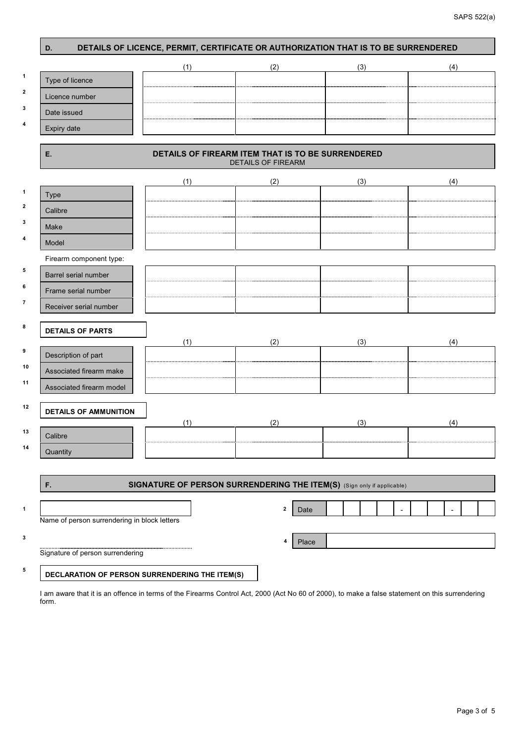|                         | DETAILS OF LICENCE, PERMIT, CERTIFICATE OR AUTHORIZATION THAT IS TO BE SURRENDERED<br>D. |                                                                        |                      |     |     |  |  |  |  |  |  |  |
|-------------------------|------------------------------------------------------------------------------------------|------------------------------------------------------------------------|----------------------|-----|-----|--|--|--|--|--|--|--|
|                         |                                                                                          | (1)                                                                    | (2)                  | (3) | (4) |  |  |  |  |  |  |  |
| $\mathbf{1}$            | Type of licence                                                                          |                                                                        |                      |     |     |  |  |  |  |  |  |  |
| $\mathbf{2}$            | Licence number                                                                           |                                                                        |                      |     |     |  |  |  |  |  |  |  |
| 3                       | Date issued                                                                              |                                                                        |                      |     |     |  |  |  |  |  |  |  |
| 4                       | Expiry date                                                                              |                                                                        |                      |     |     |  |  |  |  |  |  |  |
|                         | DETAILS OF FIREARM ITEM THAT IS TO BE SURRENDERED<br>Ε.<br><b>DETAILS OF FIREARM</b>     |                                                                        |                      |     |     |  |  |  |  |  |  |  |
|                         |                                                                                          | (1)                                                                    | (2)                  | (3) | (4) |  |  |  |  |  |  |  |
| $\mathbf{1}$            | Type                                                                                     |                                                                        |                      |     |     |  |  |  |  |  |  |  |
| $\overline{\mathbf{2}}$ | Calibre                                                                                  |                                                                        |                      |     |     |  |  |  |  |  |  |  |
| 3                       | Make                                                                                     |                                                                        |                      |     |     |  |  |  |  |  |  |  |
| 4                       | Model                                                                                    |                                                                        |                      |     |     |  |  |  |  |  |  |  |
|                         | Firearm component type:                                                                  |                                                                        |                      |     |     |  |  |  |  |  |  |  |
| ${\bf 5}$               | Barrel serial number                                                                     |                                                                        |                      |     |     |  |  |  |  |  |  |  |
| 6                       | Frame serial number                                                                      |                                                                        |                      |     |     |  |  |  |  |  |  |  |
| $\overline{\mathbf{r}}$ | Receiver serial number                                                                   |                                                                        |                      |     |     |  |  |  |  |  |  |  |
| 8                       | <b>DETAILS OF PARTS</b>                                                                  | (1)                                                                    | (2)                  | (3) | (4) |  |  |  |  |  |  |  |
| 9                       | Description of part                                                                      |                                                                        |                      |     |     |  |  |  |  |  |  |  |
| 10                      | Associated firearm make                                                                  |                                                                        |                      |     |     |  |  |  |  |  |  |  |
| 11                      | Associated firearm model                                                                 |                                                                        |                      |     |     |  |  |  |  |  |  |  |
| 12                      | <b>DETAILS OF AMMUNITION</b>                                                             |                                                                        |                      |     |     |  |  |  |  |  |  |  |
| 13                      |                                                                                          | (1)                                                                    | (2)                  | (3) | (4) |  |  |  |  |  |  |  |
| 14                      | Calibre                                                                                  |                                                                        |                      |     |     |  |  |  |  |  |  |  |
|                         | Quantity                                                                                 |                                                                        |                      |     |     |  |  |  |  |  |  |  |
|                         | F.                                                                                       | SIGNATURE OF PERSON SURRENDERING THE ITEM(S) (Sign only if applicable) |                      |     |     |  |  |  |  |  |  |  |
| $\mathbf{1}$            | Name of person surrendering in block letters                                             |                                                                        | $\mathbf{2}$<br>Date |     |     |  |  |  |  |  |  |  |
| 3                       |                                                                                          |                                                                        |                      |     |     |  |  |  |  |  |  |  |
|                         | Signature of person surrendering                                                         |                                                                        | Place<br>4           |     |     |  |  |  |  |  |  |  |
| 5                       | DECLARATION OF PERSON SURRENDERING THE ITEM(S)                                           |                                                                        |                      |     |     |  |  |  |  |  |  |  |

I am aware that it is an offence in terms of the Firearms Control Act, 2000 (Act No 60 of 2000), to make a false statement on this surrendering form.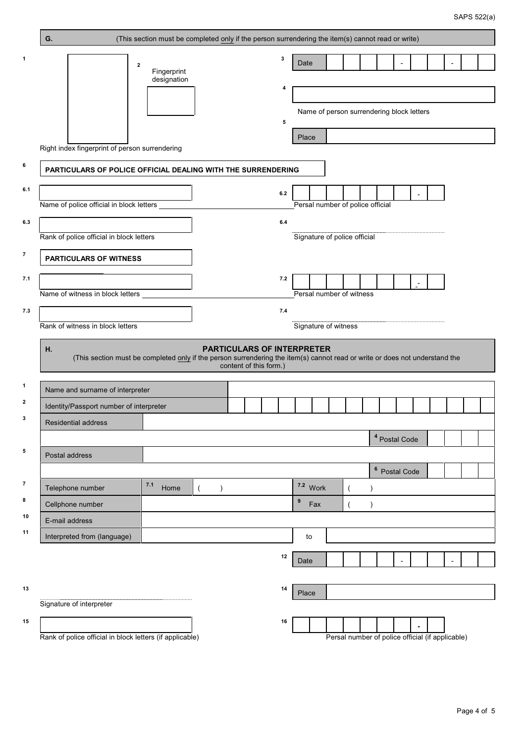|                          | G.<br>(This section must be completed only if the person surrendering the item(s) cannot read or write)                                                                                          |     |                                                  |  |  |  |  |  |  |  |  |  |
|--------------------------|--------------------------------------------------------------------------------------------------------------------------------------------------------------------------------------------------|-----|--------------------------------------------------|--|--|--|--|--|--|--|--|--|
| 1                        | $\mathbf{2}$<br>Fingerprint                                                                                                                                                                      | 3   | Date                                             |  |  |  |  |  |  |  |  |  |
|                          | designation                                                                                                                                                                                      | 4   |                                                  |  |  |  |  |  |  |  |  |  |
|                          |                                                                                                                                                                                                  | 5   | Name of person surrendering block letters        |  |  |  |  |  |  |  |  |  |
|                          | Right index fingerprint of person surrendering                                                                                                                                                   |     | Place                                            |  |  |  |  |  |  |  |  |  |
| 6                        | PARTICULARS OF POLICE OFFICIAL DEALING WITH THE SURRENDERING                                                                                                                                     |     |                                                  |  |  |  |  |  |  |  |  |  |
| 6.1                      |                                                                                                                                                                                                  | 6.2 |                                                  |  |  |  |  |  |  |  |  |  |
|                          | Name of police official in block letters                                                                                                                                                         |     | Persal number of police official                 |  |  |  |  |  |  |  |  |  |
| 6.3                      | Rank of police official in block letters                                                                                                                                                         | 6.4 |                                                  |  |  |  |  |  |  |  |  |  |
| $\overline{\phantom{a}}$ | <b>PARTICULARS OF WITNESS</b>                                                                                                                                                                    |     |                                                  |  |  |  |  |  |  |  |  |  |
| 7.1                      |                                                                                                                                                                                                  | 7.2 |                                                  |  |  |  |  |  |  |  |  |  |
| 7.3                      | Name of witness in block letters                                                                                                                                                                 | 7.4 | Persal number of witness                         |  |  |  |  |  |  |  |  |  |
|                          | Rank of witness in block letters                                                                                                                                                                 |     | Signature of witness                             |  |  |  |  |  |  |  |  |  |
|                          | <b>PARTICULARS OF INTERPRETER</b><br>Η.<br>(This section must be completed only if the person surrendering the item(s) cannot read or write or does not understand the<br>content of this form.) |     |                                                  |  |  |  |  |  |  |  |  |  |
| 1                        | Name and surname of interpreter                                                                                                                                                                  |     |                                                  |  |  |  |  |  |  |  |  |  |
| $\mathbf{2}$             | Identity/Passport number of interpreter                                                                                                                                                          |     |                                                  |  |  |  |  |  |  |  |  |  |
| 3                        | Residential address                                                                                                                                                                              |     |                                                  |  |  |  |  |  |  |  |  |  |
| 5                        |                                                                                                                                                                                                  |     | <sup>4</sup> Postal Code                         |  |  |  |  |  |  |  |  |  |
|                          | Postal address                                                                                                                                                                                   |     | 6<br>Postal Code                                 |  |  |  |  |  |  |  |  |  |
| $\overline{\mathbf{r}}$  | 7.1<br>Telephone number<br>Home<br>$\mathcal{E}$                                                                                                                                                 |     | 7.2 Work                                         |  |  |  |  |  |  |  |  |  |
| 8                        | Cellphone number                                                                                                                                                                                 |     | $\pmb{9}$<br>Fax<br>$\lambda$                    |  |  |  |  |  |  |  |  |  |
| 10                       | E-mail address                                                                                                                                                                                   |     |                                                  |  |  |  |  |  |  |  |  |  |
| 11                       | Interpreted from (language)                                                                                                                                                                      |     | to                                               |  |  |  |  |  |  |  |  |  |
|                          |                                                                                                                                                                                                  | 12  | Date                                             |  |  |  |  |  |  |  |  |  |
| 13                       |                                                                                                                                                                                                  | 14  |                                                  |  |  |  |  |  |  |  |  |  |
|                          | Signature of interpreter                                                                                                                                                                         |     | Place                                            |  |  |  |  |  |  |  |  |  |
| 15                       |                                                                                                                                                                                                  | 16  |                                                  |  |  |  |  |  |  |  |  |  |
|                          | Rank of police official in block letters (if applicable)                                                                                                                                         |     | Persal number of police official (if applicable) |  |  |  |  |  |  |  |  |  |